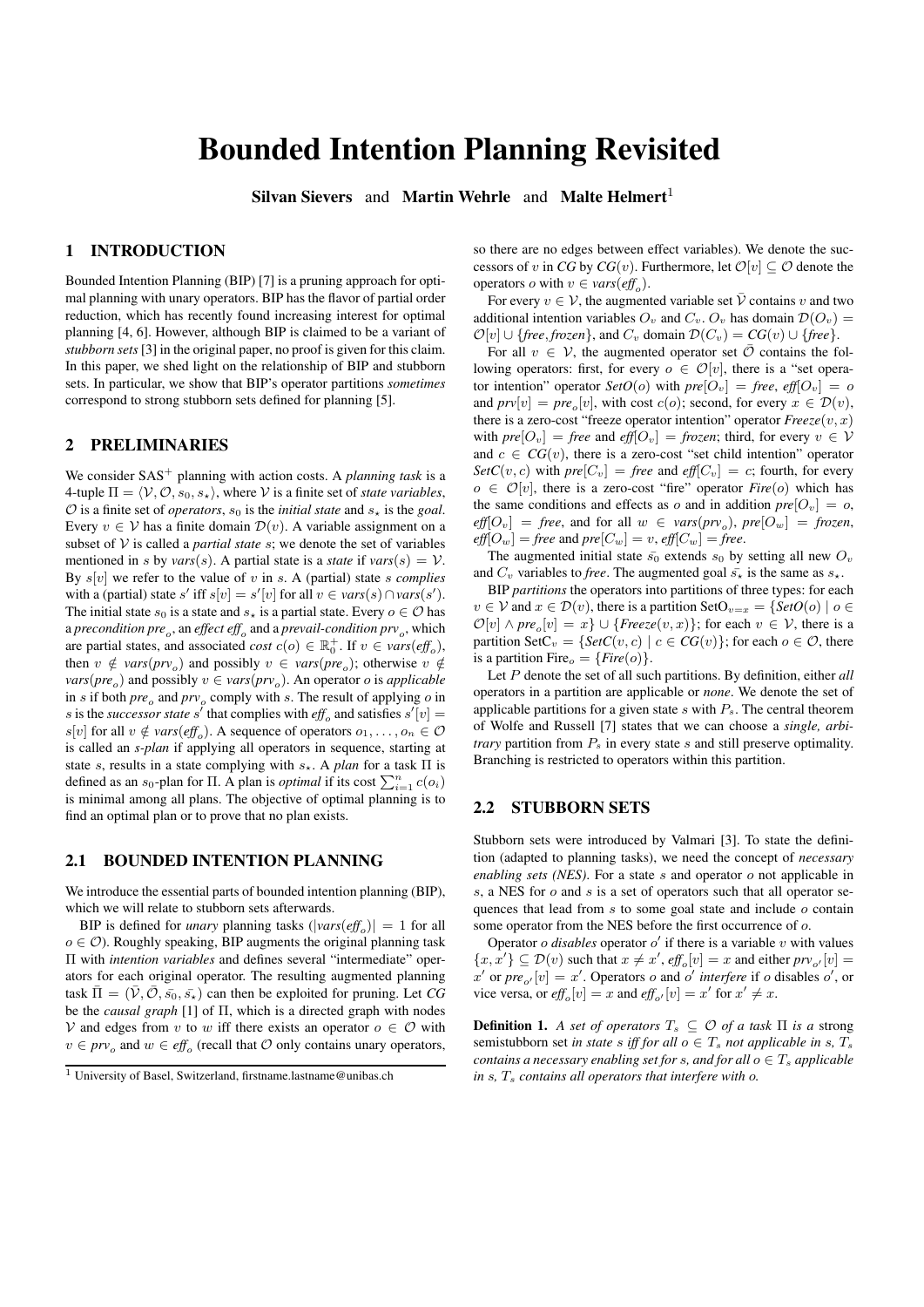# Bounded Intention Planning Revisited

Silvan Sievers and Martin Wehrle and Malte Helmert<sup>1</sup>

# 1 INTRODUCTION

Bounded Intention Planning (BIP) [7] is a pruning approach for optimal planning with unary operators. BIP has the flavor of partial order reduction, which has recently found increasing interest for optimal planning [4, 6]. However, although BIP is claimed to be a variant of *stubborn sets*[3] in the original paper, no proof is given for this claim. In this paper, we shed light on the relationship of BIP and stubborn sets. In particular, we show that BIP's operator partitions *sometimes* correspond to strong stubborn sets defined for planning [5].

#### 2 PRELIMINARIES

We consider SAS<sup>+</sup> planning with action costs. A *planning task* is a 4-tuple  $\Pi = \langle V, \mathcal{O}, s_0, s_\star \rangle$ , where V is a finite set of *state variables*,  $\mathcal O$  is a finite set of *operators*,  $s_0$  is the *initial state* and  $s_*$  is the *goal*. Every  $v \in V$  has a finite domain  $\mathcal{D}(v)$ . A variable assignment on a subset of  $V$  is called a *partial state*  $s$ ; we denote the set of variables mentioned in *s* by *vars*(*s*). A partial state is a *state* if *vars*(*s*) = V. By  $s[v]$  we refer to the value of v in s. A (partial) state s *complies* with a (partial) state s' iff  $s[v] = s'[v]$  for all  $v \in vars(s) \cap vars(s')$ . The initial state  $s_0$  is a state and  $s_{\star}$  is a partial state. Every  $o \in \mathcal{O}$  has a *precondition pre*<sub>o</sub>, an *effect eff*<sub>o</sub> and a *prevail-condition prv*<sub>o</sub>, which are partial states, and associated *cost*  $c(o) \in \mathbb{R}_0^+$ . If  $v \in vars(\text{eff}_o)$ , then  $v \notin vars(prv_o)$  and possibly  $v \in vars(pre_o)$ ; otherwise  $v \notin$  $vars(pre_o)$  and possibly  $v \in vars(prv_o)$ . An operator *o* is *applicable* in s if both  $pre_o$  and  $prv_o$  comply with s. The result of applying o in *s* is the *successor state* s' that complies with  $\text{eff}_o$  and satisfies  $s'[v] =$  $s[v]$  for all  $v \notin vars(eff_o)$ . A sequence of operators  $o_1, \ldots, o_n \in \mathcal{O}$ is called an *s-plan* if applying all operators in sequence, starting at state s, results in a state complying with  $s_{\star}$ . A *plan* for a task  $\Pi$  is defined as an  $s_0$ -plan for  $\Pi$ . A plan is *optimal* if its cost  $\sum_{i=1}^{n} c(o_i)$ is minimal among all plans. The objective of optimal planning is to find an optimal plan or to prove that no plan exists.

#### 2.1 BOUNDED INTENTION PLANNING

We introduce the essential parts of bounded intention planning (BIP), which we will relate to stubborn sets afterwards.

BIP is defined for *unary* planning tasks  $(|vars(eff<sub>o</sub>)| = 1$  for all  $o \in \mathcal{O}$ ). Roughly speaking, BIP augments the original planning task Π with *intention variables* and defines several "intermediate" operators for each original operator. The resulting augmented planning task  $\overline{\Pi} = (\overline{V}, \overline{O}, \overline{s_0}, \overline{s_*})$  can then be exploited for pruning. Let *CG* be the *causal graph* [1] of Π, which is a directed graph with nodes V and edges from v to w iff there exists an operator  $o \in \mathcal{O}$  with  $v \in prv_o$  and  $w \in eff_o$  (recall that  $O$  only contains unary operators,

so there are no edges between effect variables). We denote the successors of v in *CG* by  $CG(v)$ . Furthermore, let  $\mathcal{O}[v] \subseteq \mathcal{O}$  denote the operators *o* with  $v \in vars(\textit{eff}_{o})$ .

For every  $v \in V$ , the augmented variable set  $\overline{V}$  contains v and two additional intention variables  $O_v$  and  $C_v$ .  $O_v$  has domain  $\mathcal{D}(O_v)$  =  $\mathcal{O}[v] \cup \{ \text{free}, \text{frozen} \}, \text{and } C_v \text{ domain } \mathcal{D}(C_v) = CG(v) \cup \{ \text{free} \}.$ 

For all  $v \in V$ , the augmented operator set  $\overline{O}$  contains the following operators: first, for every  $o \in \mathcal{O}[v]$ , there is a "set operator intention" operator  $SetO(o)$  with  $pre[O_v] = free$ ,  $eff[O_v] = o$ and  $prv[v] = pre_o[v]$ , with cost  $c(o)$ ; second, for every  $x \in \mathcal{D}(v)$ , there is a zero-cost "freeze operator intention" operator  $Freeze(v, x)$ with  $pre[O_v] = free$  and  $eff[O_v] = frozen$ ; third, for every  $v \in V$ and  $c \in CG(v)$ , there is a zero-cost "set child intention" operator  $SetC(v, c)$  with  $pre[C_v] = free$  and  $eff[C_v] = c$ ; fourth, for every  $o \in \mathcal{O}[v]$ , there is a zero-cost "fire" operator *Fire*(*o*) which has the same conditions and effects as o and in addition  $pre[O_v] = o$ ,  $\text{eff}[O_v] = \text{free}$ , and for all  $w \in \text{vars}(prv_o)$ ,  $\text{pre}[O_w] = \text{frozen}$ ,  $\mathit{eff}[O_w] = \mathit{free}$  and  $\mathit{pre}[C_w] = v$ ,  $\mathit{eff}[C_w] = \mathit{free}$ .

The augmented initial state  $\bar{s_0}$  extends  $s_0$  by setting all new  $O_v$ and  $C_v$  variables to *free*. The augmented goal  $\bar{s}_*$  is the same as  $s_*$ .

BIP *partitions* the operators into partitions of three types: for each  $v \in V$  and  $x \in \mathcal{D}(v)$ , there is a partition SetO<sub>v=x</sub> = {SetO(o) | o  $\in$  $\mathcal{O}[v] \wedge pre_o[v] = x$   $\cup$  {*Freeze*(*v*, *x*)}; for each  $v \in \mathcal{V}$ , there is a partition SetC<sub>v</sub> = {*SetC*(*v*, *c*) |  $c \in CG(v)$ }; for each  $o \in \mathcal{O}$ , there is a partition Fire<sub>o</sub> = {*Fire*(*o*)}.

Let P denote the set of all such partitions. By definition, either *all* operators in a partition are applicable or *none*. We denote the set of applicable partitions for a given state  $s$  with  $P_s$ . The central theorem of Wolfe and Russell [7] states that we can choose a *single, arbitrary* partition from  $P_s$  in every state s and still preserve optimality. Branching is restricted to operators within this partition.

#### 2.2 STUBBORN SETS

Stubborn sets were introduced by Valmari [3]. To state the definition (adapted to planning tasks), we need the concept of *necessary enabling sets (NES)*. For a state s and operator o not applicable in  $s$ , a NES for  $o$  and  $s$  is a set of operators such that all operator sequences that lead from  $s$  to some goal state and include  $o$  contain some operator from the NES before the first occurrence of o.

Operator  $o$  *disables* operator  $o'$  if there is a variable  $v$  with values  $\{x, x'\} \subseteq \mathcal{D}(v)$  such that  $x \neq x'$ ,  $\text{eff}_o[v] = x$  and either  $\text{prv}_{o'}[v] = x$  $x'$  or  $pre_{o'}[v] = x'$ . Operators *o* and *o' interfere* if *o* disables *o'*, or vice versa, or  $\operatorname{eff}_o[v] = x$  and  $\operatorname{eff}_{o'}[v] = x'$  for  $x' \neq x$ .

**Definition 1.** *A set of operators*  $T_s \subseteq \mathcal{O}$  *of a task*  $\Pi$  *is a* strong semistubborn set *in state* s *iff for all*  $o \in T_s$  *not applicable in* s,  $T_s$ *contains a necessary enabling set for s, and for all*  $o \in T_s$  *applicable*  $in s$ ,  $T_s$  *contains all operators that interfere with o.* 

<sup>&</sup>lt;sup>1</sup> University of Basel, Switzerland, firstname.lastname@unibas.ch